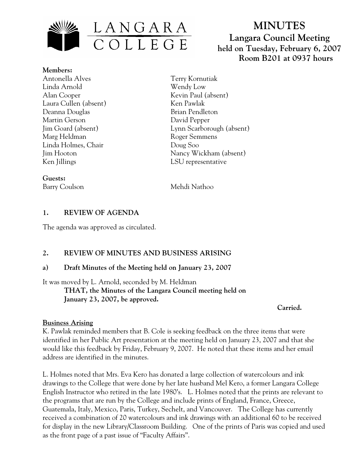

# **MINUTES Langara Council Meeting held on Tuesday, February 6, 2007 Room B201 at 0937 hours**

**Members:** Antonella Alves Linda Arnold Alan Cooper Laura Cullen (absent) Deanna Douglas Martin Gerson Jim Goard (absent) Marg Heldman Linda Holmes, Chair Jim Hooton Ken Jillings

**Guests:**

Terry Kornutiak Wendy Low Kevin Paul (absent) Ken Pawlak Brian Pendleton David Pepper Lynn Scarborough (absent) Roger Semmens Doug Soo Nancy Wickham (absent) LSU representative

Barry Coulson Mehdi Nathoo

# **1. REVIEW OF AGENDA**

The agenda was approved as circulated.

# **2. REVIEW OF MINUTES AND BUSINESS ARISING**

# **a) Draft Minutes of the Meeting held on January 23, 2007**

It was moved by L. Arnold, seconded by M. Heldman **THAT, the Minutes of the Langara Council meeting held on January 23, 2007, be approved.**

**Carried.**

# **Business Arising**

K. Pawlak reminded members that B. Cole is seeking feedback on the three items that were identified in her Public Art presentation at the meeting held on January 23, 2007 and that she would like this feedback by Friday, February 9, 2007. He noted that these items and her email address are identified in the minutes.

L. Holmes noted that Mrs. Eva Kero has donated a large collection of watercolours and ink drawings to the College that were done by her late husband Mel Kero, a former Langara College English Instructor who retired in the late 1980's. L. Holmes noted that the prints are relevant to the programs that are run by the College and include prints of England, France, Greece, Guatemala, Italy, Mexico, Paris, Turkey, Sechelt, and Vancouver. The College has currently received a combination of 20 watercolours and ink drawings with an additional 60 to be received for display in the new Library/Classroom Building. One of the prints of Paris was copied and used as the front page of a past issue of "Faculty Affairs".